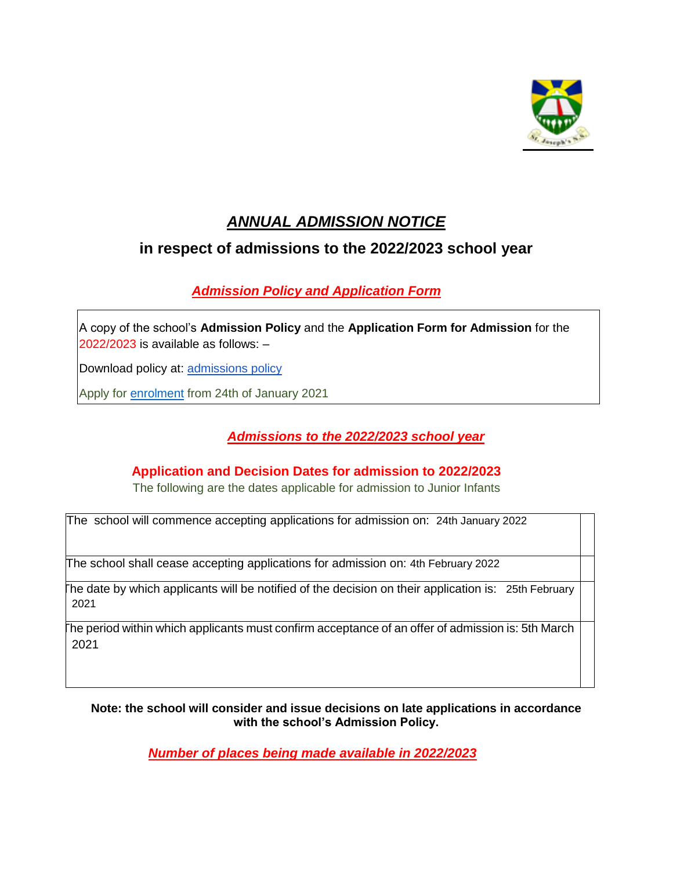

# *ANNUAL ADMISSION NOTICE*

## **in respect of admissions to the 2022/2023 school year**

### *Admission Policy and Application Form*

A copy of the school's **Admission Policy** and the **Application Form for Admission** for the 2022/2023 is available as follows: –

Download policy at: [admissions policy](http://rathwirens.ie/resources/Enrolment_%20Policy%202019.pdf)

Apply for enrolment from 24th of January 2021

#### *Admissions to the 2022/2023 school year*

#### **Application and Decision Dates for admission to 2022/2023**

The following are the dates applicable for admission to Junior Infants

The school will commence accepting applications for admission on: 24th January 2022

The school shall cease accepting applications for admission on: 4th February 2022

The date by which applicants will be notified of the decision on their application is: 25th February 2021

 The period within which applicants must confirm acceptance of an offer of admission is: 5th March 2021

**Note: the school will consider and issue decisions on late applications in accordance with the school's Admission Policy.**

*Number of places being made available in 2022/2023*